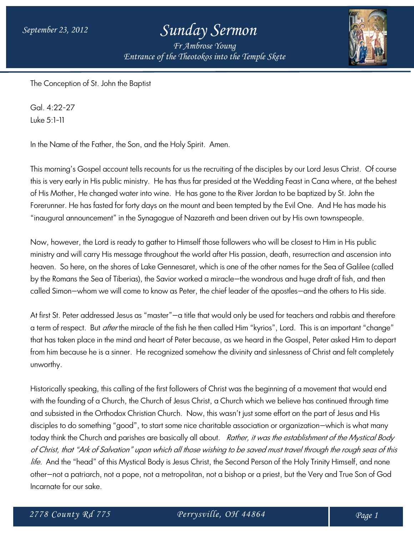## *September 23, 2012 Sunday Sermon*

*Fr Ambrose Young Entrance of the Theotokos into the Temple Skete*



The Conception of St. John the Baptist

Gal. 4:22-27 Luke 5:1-11

In the Name of the Father, the Son, and the Holy Spirit. Amen.

This morning's Gospel account tells recounts for us the recruiting of the disciples by our Lord Jesus Christ. Of course this is very early in His public ministry. He has thus far presided at the Wedding Feast in Cana where, at the behest of His Mother, He changed water into wine. He has gone to the River Jordan to be baptized by St. John the Forerunner. He has fasted for forty days on the mount and been tempted by the Evil One. And He has made his "inaugural announcement" in the Synagogue of Nazareth and been driven out by His own townspeople.

Now, however, the Lord is ready to gather to Himself those followers who will be closest to Him in His public ministry and will carry His message throughout the world after His passion, death, resurrection and ascension into heaven. So here, on the shores of Lake Gennesaret, which is one of the other names for the Sea of Galilee (called by the Romans the Sea of Tiberias), the Savior worked a miracle—the wondrous and huge draft of fish, and then called Simon—whom we will come to know as Peter, the chief leader of the apostles—and the others to His side.

At first St. Peter addressed Jesus as "master"—a title that would only be used for teachers and rabbis and therefore a term of respect. But *after* the miracle of the fish he then called Him "kyrios", Lord. This is an important "change" that has taken place in the mind and heart of Peter because, as we heard in the Gospel, Peter asked Him to depart from him because he is a sinner. He recognized somehow the divinity and sinlessness of Christ and felt completely unworthy.

Historically speaking, this calling of the first followers of Christ was the beginning of a movement that would end with the founding of a Church, the Church of Jesus Christ, a Church which we believe has continued through time and subsisted in the Orthodox Christian Church. Now, this wasn't just some effort on the part of Jesus and His disciples to do something "good", to start some nice charitable association or organization—which is what many today think the Church and parishes are basically all about. Rather, it was the establishment of the Mystical Body of Christ, that "Ark of Salvation" upon which all those wishing to be saved must travel through the rough seas of this life. And the "head" of this Mystical Body is Jesus Christ, the Second Person of the Holy Trinity Himself, and none other—not a patriarch, not a pope, not a metropolitan, not a bishop or a priest, but the Very and True Son of God Incarnate for our sake.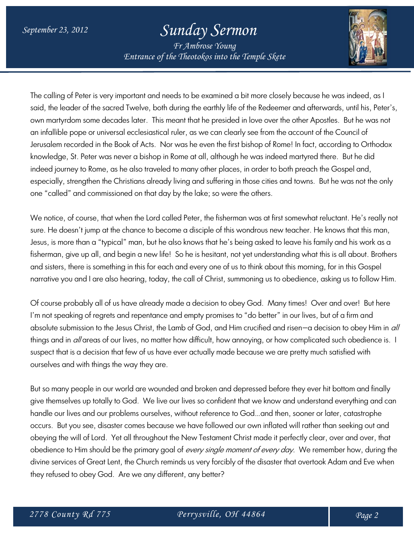## *September 23, 2012 Sunday Sermon*

*Fr Ambrose Young Entrance of the Theotokos into the Temple Skete*



The calling of Peter is very important and needs to be examined a bit more closely because he was indeed, as I said, the leader of the sacred Twelve, both during the earthly life of the Redeemer and afterwards, until his, Peter's, own martyrdom some decades later. This meant that he presided in love over the other Apostles. But he was not an infallible pope or universal ecclesiastical ruler, as we can clearly see from the account of the Council of Jerusalem recorded in the Book of Acts. Nor was he even the first bishop of Rome! In fact, according to Orthodox knowledge, St. Peter was never a bishop in Rome at all, although he was indeed martyred there. But he did indeed journey to Rome, as he also traveled to many other places, in order to both preach the Gospel and, especially, strengthen the Christians already living and suffering in those cities and towns. But he was not the only one "called" and commissioned on that day by the lake; so were the others.

We notice, of course, that when the Lord called Peter, the fisherman was at first somewhat reluctant. He's really not sure. He doesn't jump at the chance to become a disciple of this wondrous new teacher. He knows that this man, Jesus, is more than a "typical" man, but he also knows that he's being asked to leave his family and his work as a fisherman, give up all, and begin a new life! So he is hesitant, not yet understanding what this is all about. Brothers and sisters, there is something in this for each and every one of us to think about this morning, for in this Gospel narrative you and I are also hearing, today, the call of Christ, summoning us to obedience, asking us to follow Him.

Of course probably all of us have already made a decision to obey God. Many times! Over and over! But here I'm not speaking of regrets and repentance and empty promises to "do better" in our lives, but of a firm and absolute submission to the Jesus Christ, the Lamb of God, and Him crucified and risen-a decision to obey Him in all things and in all areas of our lives, no matter how difficult, how annoying, or how complicated such obedience is. I suspect that is a decision that few of us have ever actually made because we are pretty much satisfied with ourselves and with things the way they are.

But so many people in our world are wounded and broken and depressed before they ever hit bottom and finally give themselves up totally to God. We live our lives so confident that we know and understand everything and can handle our lives and our problems ourselves, without reference to God…and then, sooner or later, catastrophe occurs. But you see, disaster comes because we have followed our own inflated will rather than seeking out and obeying the will of Lord. Yet all throughout the New Testament Christ made it perfectly clear, over and over, that obedience to Him should be the primary goal of *every single moment of every day*. We remember how, during the divine services of Great Lent, the Church reminds us very forcibly of the disaster that overtook Adam and Eve when they refused to obey God. Are we any different, any better?